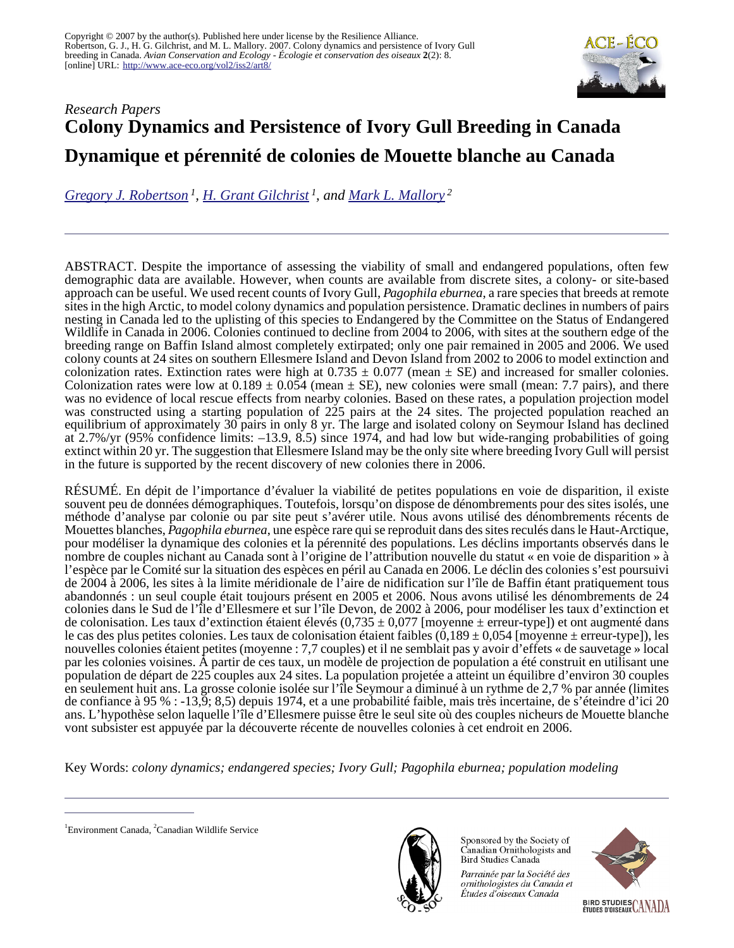

# *Research Papers* **Colony Dynamics and Persistence of Ivory Gull Breeding in Canada Dynamique et pérennité de colonies de Mouette blanche au Canada**

*[Gregory J. Robertson](mailto:greg.robertson@ec.gc.ca)<sup>1</sup> , [H. Grant Gilchrist](mailto:grant.gilchrist@ec.gc.ca)<sup>1</sup>, and [Mark L. Mallory](mailto:mark.mallory@ec.gc.ca)<sup>2</sup>*

ABSTRACT. Despite the importance of assessing the viability of small and endangered populations, often few demographic data are available. However, when counts are available from discrete sites, a colony- or site-based approach can be useful. We used recent counts of Ivory Gull, *Pagophila eburnea*, a rare species that breeds at remote sites in the high Arctic, to model colony dynamics and population persistence. Dramatic declines in numbers of pairs nesting in Canada led to the uplisting of this species to Endangered by the Committee on the Status of Endangered Wildlife in Canada in 2006. Colonies continued to decline from 2004 to 2006, with sites at the southern edge of the breeding range on Baffin Island almost completely extirpated; only one pair remained in 2005 and 2006. We used colony counts at 24 sites on southern Ellesmere Island and Devon Island from 2002 to 2006 to model extinction and colonization rates. Extinction rates were high at  $0.735 \pm 0.077$  (mean  $\pm$  SE) and increased for smaller colonies. Colonization rates were low at  $0.189 \pm 0.054$  (mean  $\pm$  SE), new colonies were small (mean: 7.7 pairs), and there was no evidence of local rescue effects from nearby colonies. Based on these rates, a population projection model was constructed using a starting population of 225 pairs at the 24 sites. The projected population reached an equilibrium of approximately 30 pairs in only 8 yr. The large and isolated colony on Seymour Island has declined at 2.7%/yr (95% confidence limits: –13.9, 8.5) since 1974, and had low but wide-ranging probabilities of going extinct within 20 yr. The suggestion that Ellesmere Island may be the only site where breeding Ivory Gull will persist in the future is supported by the recent discovery of new colonies there in 2006.

RÉSUMÉ. En dépit de l'importance d'évaluer la viabilité de petites populations en voie de disparition, il existe souvent peu de données démographiques. Toutefois, lorsqu'on dispose de dénombrements pour des sites isolés, une méthode d'analyse par colonie ou par site peut s'avérer utile. Nous avons utilisé des dénombrements récents de Mouettes blanches, *Pagophila eburnea*, une espèce rare qui se reproduit dans des sites reculés dans le Haut-Arctique, pour modéliser la dynamique des colonies et la pérennité des populations. Les déclins importants observés dans le nombre de couples nichant au Canada sont à l'origine de l'attribution nouvelle du statut « en voie de disparition » à l'espèce par le Comité sur la situation des espèces en péril au Canada en 2006. Le déclin des colonies s'est poursuivi de 2004 à 2006, les sites à la limite méridionale de l'aire de nidification sur l'île de Baffin étant pratiquement tous abandonnés : un seul couple était toujours présent en 2005 et 2006. Nous avons utilisé les dénombrements de 24 colonies dans le Sud de l'île d'Ellesmere et sur l'île Devon, de 2002 à 2006, pour modéliser les taux d'extinction et de colonisation. Les taux d'extinction étaient élevés (0,735  $\pm$  0,077 [moyenne  $\pm$  erreur-type]) et ont augmenté dans le cas des plus petites colonies. Les taux de colonisation étaient faibles  $(0,189 \pm 0,054$  [moyenne  $\pm$  erreur-type]), les nouvelles colonies étaient petites (moyenne : 7,7 couples) et il ne semblait pas y avoir d'effets « de sauvetage » local par les colonies voisines. À partir de ces taux, un modèle de projection de population a été construit en utilisant une population de départ de 225 couples aux 24 sites. La population projetée a atteint un équilibre d'environ 30 couples en seulement huit ans. La grosse colonie isolée sur l'île Seymour a diminué à un rythme de 2,7 % par année (limites de confiance à 95 % : -13,9; 8,5) depuis 1974, et a une probabilité faible, mais très incertaine, de s'éteindre d'ici 20 ans. L'hypothèse selon laquelle l'île d'Ellesmere puisse être le seul site où des couples nicheurs de Mouette blanche vont subsister est appuyée par la découverte récente de nouvelles colonies à cet endroit en 2006.

Key Words: *colony dynamics; endangered species; Ivory Gull; Pagophila eburnea; population modeling*



Sponsored by the Society of Canadian Ornithologists and Bird Studies Canada

Parrainée par la Société des ornithologistes du Canada et Études d'oiseaux Canada



<sup>&</sup>lt;sup>1</sup>Environment Canada, <sup>2</sup>Canadian Wildlife Service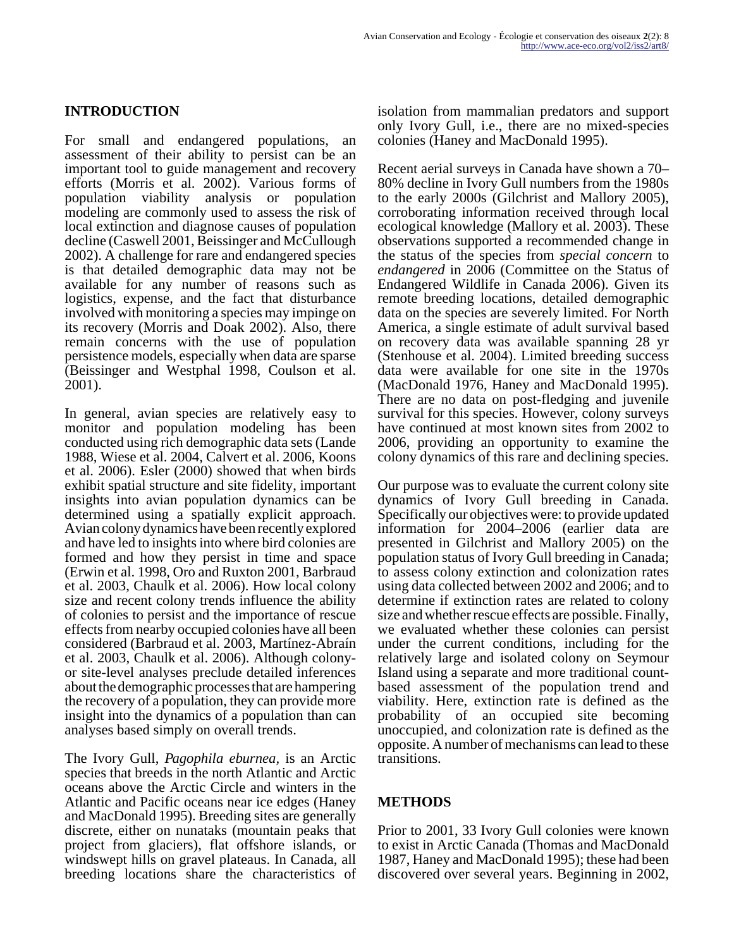## **INTRODUCTION**

For small and endangered populations, an assessment of their ability to persist can be an important tool to guide management and recovery efforts (Morris et al. 2002). Various forms of population viability analysis or population modeling are commonly used to assess the risk of local extinction and diagnose causes of population decline (Caswell 2001, Beissinger and McCullough 2002). A challenge for rare and endangered species is that detailed demographic data may not be available for any number of reasons such as logistics, expense, and the fact that disturbance involved with monitoring a species may impinge on its recovery (Morris and Doak 2002). Also, there remain concerns with the use of population persistence models, especially when data are sparse (Beissinger and Westphal 1998, Coulson et al. 2001).

In general, avian species are relatively easy to monitor and population modeling has been conducted using rich demographic data sets (Lande 1988, Wiese et al. 2004, Calvert et al. 2006, Koons et al. 2006). Esler (2000) showed that when birds exhibit spatial structure and site fidelity, important insights into avian population dynamics can be determined using a spatially explicit approach. Avian colony dynamics have been recently explored and have led to insights into where bird colonies are formed and how they persist in time and space (Erwin et al. 1998, Oro and Ruxton 2001, Barbraud et al. 2003, Chaulk et al. 2006). How local colony size and recent colony trends influence the ability of colonies to persist and the importance of rescue effects from nearby occupied colonies have all been considered (Barbraud et al. 2003, Martínez-Abraín et al. 2003, Chaulk et al. 2006). Although colonyor site-level analyses preclude detailed inferences about the demographic processes that are hampering the recovery of a population, they can provide more insight into the dynamics of a population than can analyses based simply on overall trends.

The Ivory Gull, *Pagophila eburnea,* is an Arctic species that breeds in the north Atlantic and Arctic oceans above the Arctic Circle and winters in the Atlantic and Pacific oceans near ice edges (Haney and MacDonald 1995). Breeding sites are generally discrete, either on nunataks (mountain peaks that project from glaciers), flat offshore islands, or windswept hills on gravel plateaus. In Canada, all breeding locations share the characteristics of

isolation from mammalian predators and support only Ivory Gull, i.e., there are no mixed-species colonies (Haney and MacDonald 1995).

Recent aerial surveys in Canada have shown a 70– 80% decline in Ivory Gull numbers from the 1980s to the early 2000s (Gilchrist and Mallory 2005), corroborating information received through local ecological knowledge (Mallory et al. 2003). These observations supported a recommended change in the status of the species from *special concern* to *endangered* in 2006 (Committee on the Status of Endangered Wildlife in Canada 2006). Given its remote breeding locations, detailed demographic data on the species are severely limited. For North America, a single estimate of adult survival based on recovery data was available spanning 28 yr (Stenhouse et al. 2004). Limited breeding success data were available for one site in the 1970s (MacDonald 1976, Haney and MacDonald 1995). There are no data on post-fledging and juvenile survival for this species. However, colony surveys have continued at most known sites from 2002 to 2006, providing an opportunity to examine the colony dynamics of this rare and declining species.

Our purpose was to evaluate the current colony site dynamics of Ivory Gull breeding in Canada. Specifically our objectives were: to provide updated information for 2004–2006 (earlier data are presented in Gilchrist and Mallory 2005) on the population status of Ivory Gull breeding in Canada; to assess colony extinction and colonization rates using data collected between 2002 and 2006; and to determine if extinction rates are related to colony size and whether rescue effects are possible. Finally, we evaluated whether these colonies can persist under the current conditions, including for the relatively large and isolated colony on Seymour Island using a separate and more traditional countbased assessment of the population trend and viability. Here, extinction rate is defined as the probability of an occupied site becoming unoccupied, and colonization rate is defined as the opposite. A number of mechanisms can lead to these transitions.

### **METHODS**

Prior to 2001, 33 Ivory Gull colonies were known to exist in Arctic Canada (Thomas and MacDonald 1987, Haney and MacDonald 1995); these had been discovered over several years. Beginning in 2002,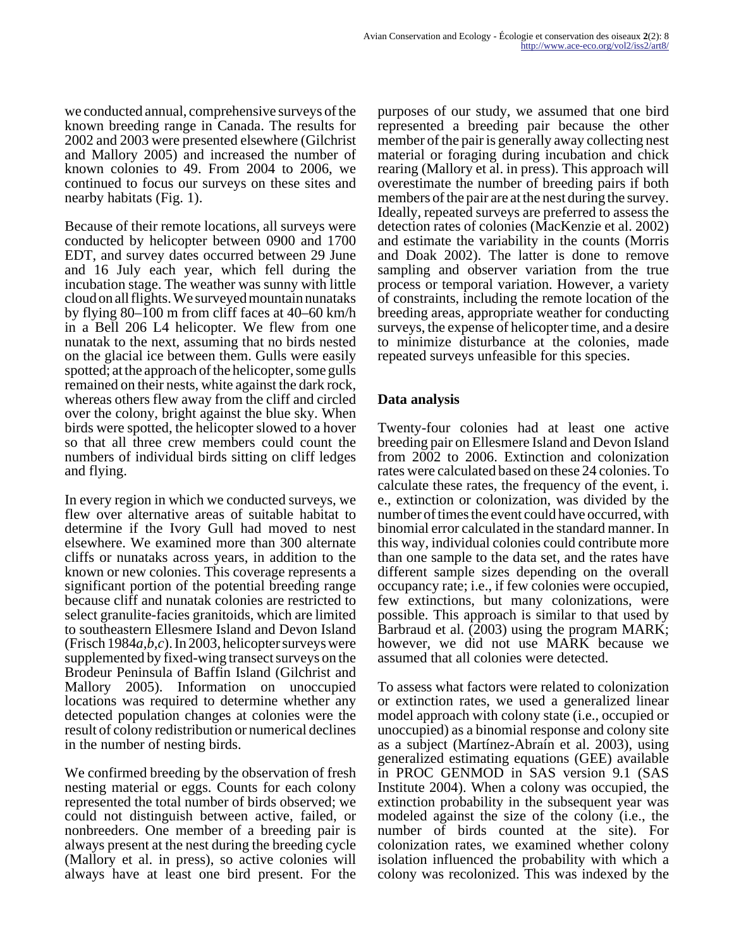we conducted annual, comprehensive surveys of the known breeding range in Canada. The results for 2002 and 2003 were presented elsewhere (Gilchrist and Mallory 2005) and increased the number of known colonies to 49. From 2004 to 2006, we continued to focus our surveys on these sites and nearby habitats (Fig. 1).

Because of their remote locations, all surveys were conducted by helicopter between 0900 and 1700 EDT, and survey dates occurred between 29 June and 16 July each year, which fell during the incubation stage. The weather was sunny with little cloud on all flights. We surveyed mountain nunataks by flying 80–100 m from cliff faces at 40–60 km/h in a Bell 206 L4 helicopter. We flew from one nunatak to the next, assuming that no birds nested on the glacial ice between them. Gulls were easily spotted; at the approach of the helicopter, some gulls remained on their nests, white against the dark rock, whereas others flew away from the cliff and circled over the colony, bright against the blue sky. When birds were spotted, the helicopter slowed to a hover so that all three crew members could count the numbers of individual birds sitting on cliff ledges and flying.

In every region in which we conducted surveys, we flew over alternative areas of suitable habitat to determine if the Ivory Gull had moved to nest elsewhere. We examined more than 300 alternate cliffs or nunataks across years, in addition to the known or new colonies. This coverage represents a significant portion of the potential breeding range because cliff and nunatak colonies are restricted to select granulite-facies granitoids, which are limited to southeastern Ellesmere Island and Devon Island (Frisch 1984*a,b,c*). In 2003, helicopter surveys were supplemented by fixed-wing transect surveys on the Brodeur Peninsula of Baffin Island (Gilchrist and Mallory 2005). Information on unoccupied locations was required to determine whether any detected population changes at colonies were the result of colony redistribution or numerical declines in the number of nesting birds.

We confirmed breeding by the observation of fresh nesting material or eggs. Counts for each colony represented the total number of birds observed; we could not distinguish between active, failed, or nonbreeders. One member of a breeding pair is always present at the nest during the breeding cycle (Mallory et al. in press), so active colonies will always have at least one bird present. For the purposes of our study, we assumed that one bird represented a breeding pair because the other member of the pair is generally away collecting nest material or foraging during incubation and chick rearing (Mallory et al. in press). This approach will overestimate the number of breeding pairs if both members of the pair are at the nest during the survey. Ideally, repeated surveys are preferred to assess the detection rates of colonies (MacKenzie et al. 2002) and estimate the variability in the counts (Morris and Doak 2002). The latter is done to remove sampling and observer variation from the true process or temporal variation. However, a variety of constraints, including the remote location of the breeding areas, appropriate weather for conducting surveys, the expense of helicopter time, and a desire to minimize disturbance at the colonies, made repeated surveys unfeasible for this species.

## **Data analysis**

Twenty-four colonies had at least one active breeding pair on Ellesmere Island and Devon Island from  $2002$  to 2006. Extinction and colonization rates were calculated based on these 24 colonies. To calculate these rates, the frequency of the event, i. e., extinction or colonization, was divided by the number of times the event could have occurred, with binomial error calculated in the standard manner. In this way, individual colonies could contribute more than one sample to the data set, and the rates have different sample sizes depending on the overall occupancy rate; i.e., if few colonies were occupied, few extinctions, but many colonizations, were possible. This approach is similar to that used by Barbraud et al. (2003) using the program MARK; however, we did not use MARK because we assumed that all colonies were detected.

To assess what factors were related to colonization or extinction rates, we used a generalized linear model approach with colony state (i.e., occupied or unoccupied) as a binomial response and colony site as a subject (Martínez-Abraín et al. 2003), using generalized estimating equations (GEE) available in PROC GENMOD in SAS version 9.1 (SAS Institute 2004). When a colony was occupied, the extinction probability in the subsequent year was modeled against the size of the colony (i.e., the number of birds counted at the site). For colonization rates, we examined whether colony isolation influenced the probability with which a colony was recolonized. This was indexed by the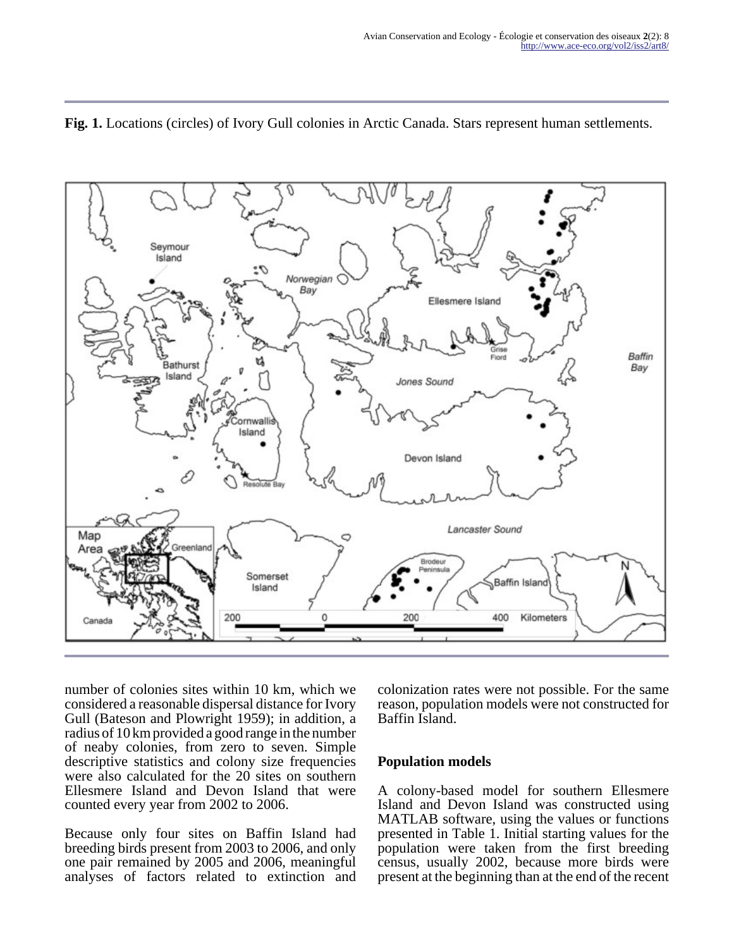

**Fig. 1.** Locations (circles) of Ivory Gull colonies in Arctic Canada. Stars represent human settlements.

number of colonies sites within 10 km, which we considered a reasonable dispersal distance for Ivory Gull (Bateson and Plowright 1959); in addition, a radius of 10 km provided a good range in the number of neaby colonies, from zero to seven. Simple descriptive statistics and colony size frequencies were also calculated for the 20 sites on southern Ellesmere Island and Devon Island that were counted every year from 2002 to 2006.

Because only four sites on Baffin Island had breeding birds present from 2003 to 2006, and only one pair remained by 2005 and 2006, meaningful analyses of factors related to extinction and

colonization rates were not possible. For the same reason, population models were not constructed for Baffin Island.

#### **Population models**

A colony-based model for southern Ellesmere Island and Devon Island was constructed using MATLAB software, using the values or functions presented in Table 1. Initial starting values for the population were taken from the first breeding census, usually 2002, because more birds were present at the beginning than at the end of the recent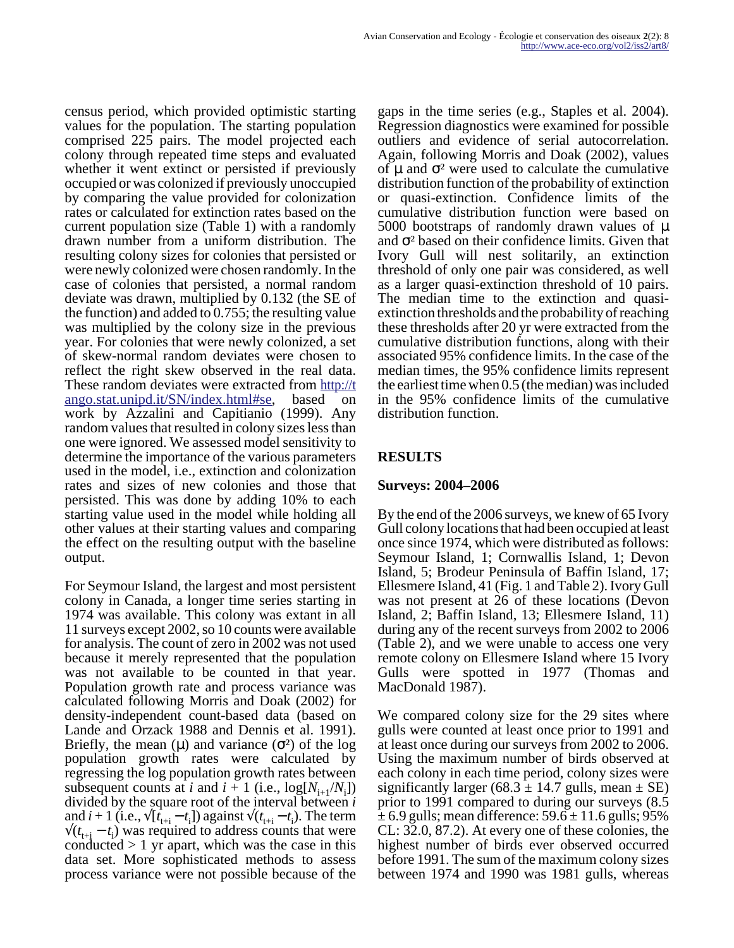census period, which provided optimistic starting values for the population. The starting population comprised 225 pairs. The model projected each colony through repeated time steps and evaluated whether it went extinct or persisted if previously occupied or was colonized if previously unoccupied by comparing the value provided for colonization rates or calculated for extinction rates based on the current population size (Table 1) with a randomly drawn number from a uniform distribution. The resulting colony sizes for colonies that persisted or were newly colonized were chosen randomly. In the case of colonies that persisted, a normal random deviate was drawn, multiplied by 0.132 (the SE of the function) and added to 0.755; the resulting value was multiplied by the colony size in the previous year. For colonies that were newly colonized, a set of skew-normal random deviates were chosen to reflect the right skew observed in the real data. These random deviates were extracted from [http://t](http://tango.stat.unipd.it/SN/index.html#se) [ango.stat.unipd.it/SN/index.html#se,](http://tango.stat.unipd.it/SN/index.html#se) based on work by Azzalini and Capitianio (1999). Any random values that resulted in colony sizes less than one were ignored. We assessed model sensitivity to determine the importance of the various parameters used in the model, i.e., extinction and colonization rates and sizes of new colonies and those that persisted. This was done by adding 10% to each starting value used in the model while holding all other values at their starting values and comparing the effect on the resulting output with the baseline output.

For Seymour Island, the largest and most persistent colony in Canada, a longer time series starting in 1974 was available. This colony was extant in all 11 surveys except 2002, so 10 counts were available for analysis. The count of zero in 2002 was not used because it merely represented that the population was not available to be counted in that year. Population growth rate and process variance was calculated following Morris and Doak (2002) for density-independent count-based data (based on Lande and Orzack 1988 and Dennis et al. 1991). Briefly, the mean  $(\mu)$  and variance  $(\sigma^2)$  of the log population growth rates were calculated by regressing the log population growth rates between subsequent counts at *i* and  $i + 1$  (i.e.,  $log[N_{i+1}/N_i]$ ) divided by the square root of the interval between *i* and *i* + 1 (i.e.,  $\sqrt{[t_{t+i} - t_i]}$ ) against  $\sqrt{(t_{t+i} - t_i)}$ . The term  $\sqrt{(t_{t+i} - t_i)}$  was required to address counts that were conducted  $> 1$  yr apart, which was the case in this data set. More sophisticated methods to assess process variance were not possible because of the gaps in the time series (e.g., Staples et al. 2004). Regression diagnostics were examined for possible outliers and evidence of serial autocorrelation. Again, following Morris and Doak (2002), values of  $\mu$  and  $\sigma^2$  were used to calculate the cumulative distribution function of the probability of extinction or quasi-extinction. Confidence limits of the cumulative distribution function were based on 5000 bootstraps of randomly drawn values of  $\mu$ and  $\sigma^2$  based on their confidence limits. Given that Ivory Gull will nest solitarily, an extinction threshold of only one pair was considered, as well as a larger quasi-extinction threshold of 10 pairs. The median time to the extinction and quasiextinction thresholds and the probability of reaching these thresholds after 20 yr were extracted from the cumulative distribution functions, along with their associated 95% confidence limits. In the case of the median times, the 95% confidence limits represent the earliest time when 0.5 (the median) was included in the 95% confidence limits of the cumulative distribution function.

# **RESULTS**

#### **Surveys: 2004–2006**

By the end of the 2006 surveys, we knew of 65 Ivory Gull colony locations that had been occupied at least once since 1974, which were distributed as follows: Seymour Island, 1; Cornwallis Island, 1; Devon Island, 5; Brodeur Peninsula of Baffin Island, 17; Ellesmere Island, 41 (Fig. 1 and Table 2). Ivory Gull was not present at 26 of these locations (Devon Island, 2; Baffin Island, 13; Ellesmere Island, 11) during any of the recent surveys from 2002 to 2006 (Table 2), and we were unable to access one very remote colony on Ellesmere Island where 15 Ivory Gulls were spotted in 1977 (Thomas and MacDonald 1987).

We compared colony size for the 29 sites where gulls were counted at least once prior to 1991 and at least once during our surveys from 2002 to 2006. Using the maximum number of birds observed at each colony in each time period, colony sizes were significantly larger (68.3  $\pm$  14.7 gulls, mean  $\pm$  SE) prior to 1991 compared to during our surveys (8.5  $\pm$  6.9 gulls; mean difference: 59.6  $\pm$  11.6 gulls; 95% CL: 32.0, 87.2). At every one of these colonies, the highest number of birds ever observed occurred before 1991. The sum of the maximum colony sizes between 1974 and 1990 was 1981 gulls, whereas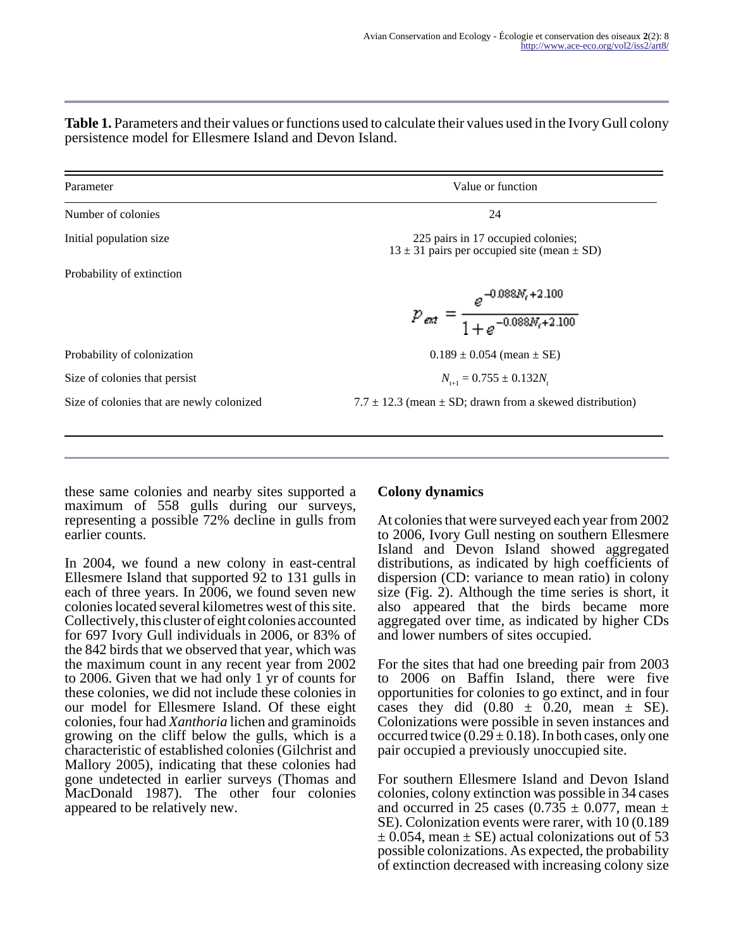**Table 1.** Parameters and their values or functions used to calculate their values used in the Ivory Gull colony persistence model for Ellesmere Island and Devon Island.

| Parameter                                 | Value or function                                                                         |  |  |  |  |
|-------------------------------------------|-------------------------------------------------------------------------------------------|--|--|--|--|
| Number of colonies                        | 24                                                                                        |  |  |  |  |
| Initial population size                   | 225 pairs in 17 occupied colonies;<br>$13 \pm 31$ pairs per occupied site (mean $\pm$ SD) |  |  |  |  |
| Probability of extinction                 |                                                                                           |  |  |  |  |
|                                           |                                                                                           |  |  |  |  |
|                                           | $p_{\text{ext}} = \frac{e^{-0.088 N_t + 2.100}}{1 + e^{-0.088 N_t + 2.100}}$              |  |  |  |  |
| Probability of colonization               | $0.189 \pm 0.054$ (mean $\pm$ SE)                                                         |  |  |  |  |
| Size of colonies that persist             | $N_{\text{t+1}} = 0.755 \pm 0.132 N_{\text{t}}$                                           |  |  |  |  |
| Size of colonies that are newly colonized | $7.7 \pm 12.3$ (mean $\pm$ SD; drawn from a skewed distribution)                          |  |  |  |  |
|                                           |                                                                                           |  |  |  |  |

these same colonies and nearby sites supported a maximum of 558 gulls during our surveys, representing a possible 72% decline in gulls from earlier counts.

In 2004, we found a new colony in east-central Ellesmere Island that supported 92 to 131 gulls in each of three years. In 2006, we found seven new colonies located several kilometres west of this site. Collectively, this cluster of eight colonies accounted for 697 Ivory Gull individuals in 2006, or 83% of the 842 birds that we observed that year, which was the maximum count in any recent year from 2002 to 2006. Given that we had only 1 yr of counts for these colonies, we did not include these colonies in our model for Ellesmere Island. Of these eight colonies, four had *Xanthoria* lichen and graminoids growing on the cliff below the gulls, which is a characteristic of established colonies (Gilchrist and Mallory 2005), indicating that these colonies had gone undetected in earlier surveys (Thomas and MacDonald 1987). The other four colonies appeared to be relatively new.

### **Colony dynamics**

At colonies that were surveyed each year from 2002 to 2006, Ivory Gull nesting on southern Ellesmere Island and Devon Island showed aggregated distributions, as indicated by high coefficients of dispersion (CD: variance to mean ratio) in colony size (Fig. 2). Although the time series is short, it also appeared that the birds became more aggregated over time, as indicated by higher CDs and lower numbers of sites occupied.

For the sites that had one breeding pair from 2003 to 2006 on Baffin Island, there were five opportunities for colonies to go extinct, and in four cases they did  $(0.80 \pm 0.20, \text{mean} \pm \text{SE}).$ Colonizations were possible in seven instances and occurred twice  $(0.29 \pm 0.18)$ . In both cases, only one pair occupied a previously unoccupied site.

For southern Ellesmere Island and Devon Island colonies, colony extinction was possible in 34 cases and occurred in 25 cases (0.735  $\pm$  0.077, mean  $\pm$ SE). Colonization events were rarer, with 10 (0.189  $\pm$  0.054, mean  $\pm$  SE) actual colonizations out of 53 possible colonizations. As expected, the probability of extinction decreased with increasing colony size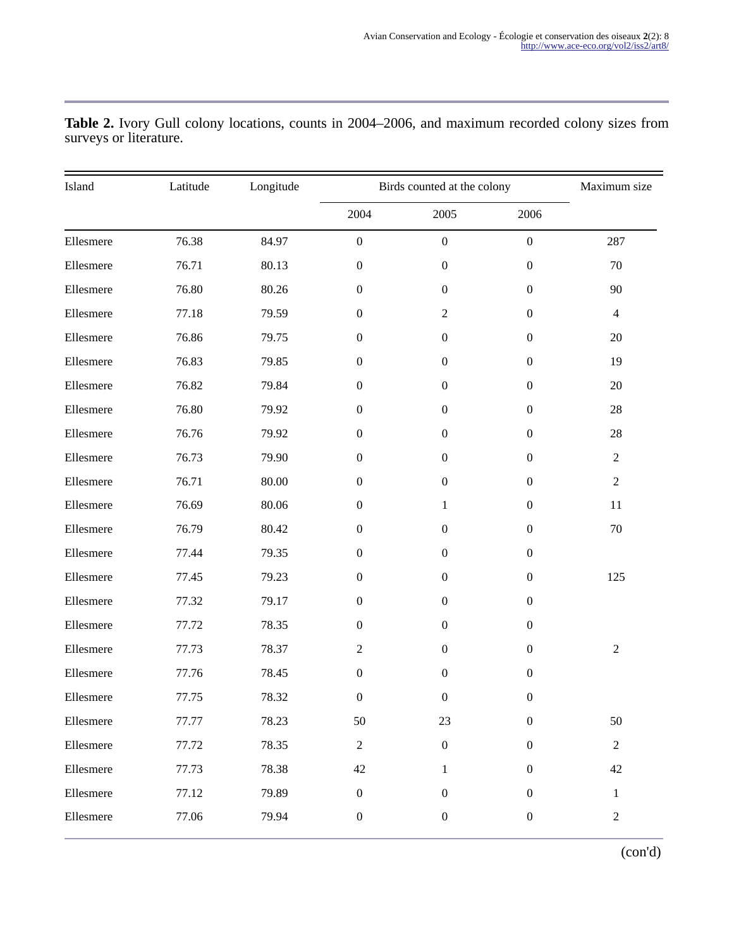| Island    | Latitude | Longitude | Birds counted at the colony | Maximum size     |                  |                |
|-----------|----------|-----------|-----------------------------|------------------|------------------|----------------|
|           |          |           | 2004                        | 2005             | 2006             |                |
| Ellesmere | 76.38    | 84.97     | $\boldsymbol{0}$            | $\boldsymbol{0}$ | $\boldsymbol{0}$ | 287            |
| Ellesmere | 76.71    | 80.13     | $\boldsymbol{0}$            | $\boldsymbol{0}$ | $\boldsymbol{0}$ | $70\,$         |
| Ellesmere | 76.80    | 80.26     | $\boldsymbol{0}$            | $\boldsymbol{0}$ | $\boldsymbol{0}$ | 90             |
| Ellesmere | 77.18    | 79.59     | $\boldsymbol{0}$            | $\overline{2}$   | $\boldsymbol{0}$ | $\overline{4}$ |
| Ellesmere | 76.86    | 79.75     | $\boldsymbol{0}$            | $\boldsymbol{0}$ | $\boldsymbol{0}$ | $20\,$         |
| Ellesmere | 76.83    | 79.85     | $\boldsymbol{0}$            | $\boldsymbol{0}$ | $\boldsymbol{0}$ | 19             |
| Ellesmere | 76.82    | 79.84     | $\boldsymbol{0}$            | $\boldsymbol{0}$ | $\boldsymbol{0}$ | $20\,$         |
| Ellesmere | 76.80    | 79.92     | $\boldsymbol{0}$            | $\boldsymbol{0}$ | $\boldsymbol{0}$ | $28\,$         |
| Ellesmere | 76.76    | 79.92     | $\boldsymbol{0}$            | $\boldsymbol{0}$ | $\boldsymbol{0}$ | $28\,$         |
| Ellesmere | 76.73    | 79.90     | $\boldsymbol{0}$            | $\boldsymbol{0}$ | $\boldsymbol{0}$ | $\sqrt{2}$     |
| Ellesmere | 76.71    | 80.00     | $\boldsymbol{0}$            | $\boldsymbol{0}$ | $\boldsymbol{0}$ | $\overline{2}$ |
| Ellesmere | 76.69    | 80.06     | $\boldsymbol{0}$            | $\mathbf{1}$     | $\boldsymbol{0}$ | 11             |
| Ellesmere | 76.79    | 80.42     | $\boldsymbol{0}$            | $\boldsymbol{0}$ | $\boldsymbol{0}$ | 70             |
| Ellesmere | 77.44    | 79.35     | $\boldsymbol{0}$            | $\boldsymbol{0}$ | $\boldsymbol{0}$ |                |
| Ellesmere | 77.45    | 79.23     | $\boldsymbol{0}$            | $\boldsymbol{0}$ | $\boldsymbol{0}$ | 125            |
| Ellesmere | 77.32    | 79.17     | $\boldsymbol{0}$            | $\boldsymbol{0}$ | $\boldsymbol{0}$ |                |
| Ellesmere | 77.72    | 78.35     | $\boldsymbol{0}$            | $\boldsymbol{0}$ | $\boldsymbol{0}$ |                |
| Ellesmere | 77.73    | 78.37     | $\overline{2}$              | $\mathbf{0}$     | $\boldsymbol{0}$ | $\sqrt{2}$     |
| Ellesmere | 77.76    | 78.45     | $\boldsymbol{0}$            | $\boldsymbol{0}$ | $\boldsymbol{0}$ |                |
| Ellesmere | 77.75    | 78.32     | $\boldsymbol{0}$            | $\boldsymbol{0}$ | $\boldsymbol{0}$ |                |
| Ellesmere | 77.77    | 78.23     | 50                          | 23               | $\boldsymbol{0}$ | $50\,$         |
| Ellesmere | 77.72    | 78.35     | $\sqrt{2}$                  | $\boldsymbol{0}$ | $\boldsymbol{0}$ | $\overline{2}$ |
| Ellesmere | 77.73    | 78.38     | 42                          | $\mathbf{1}$     | $\boldsymbol{0}$ | 42             |
| Ellesmere | 77.12    | 79.89     | $\boldsymbol{0}$            | $\boldsymbol{0}$ | $\boldsymbol{0}$ | $\mathbf{1}$   |
| Ellesmere | 77.06    | 79.94     | $\boldsymbol{0}$            | $\boldsymbol{0}$ | $\boldsymbol{0}$ | $\overline{2}$ |

**Table 2.** Ivory Gull colony locations, counts in 2004–2006, and maximum recorded colony sizes from surveys or literature.

(con'd)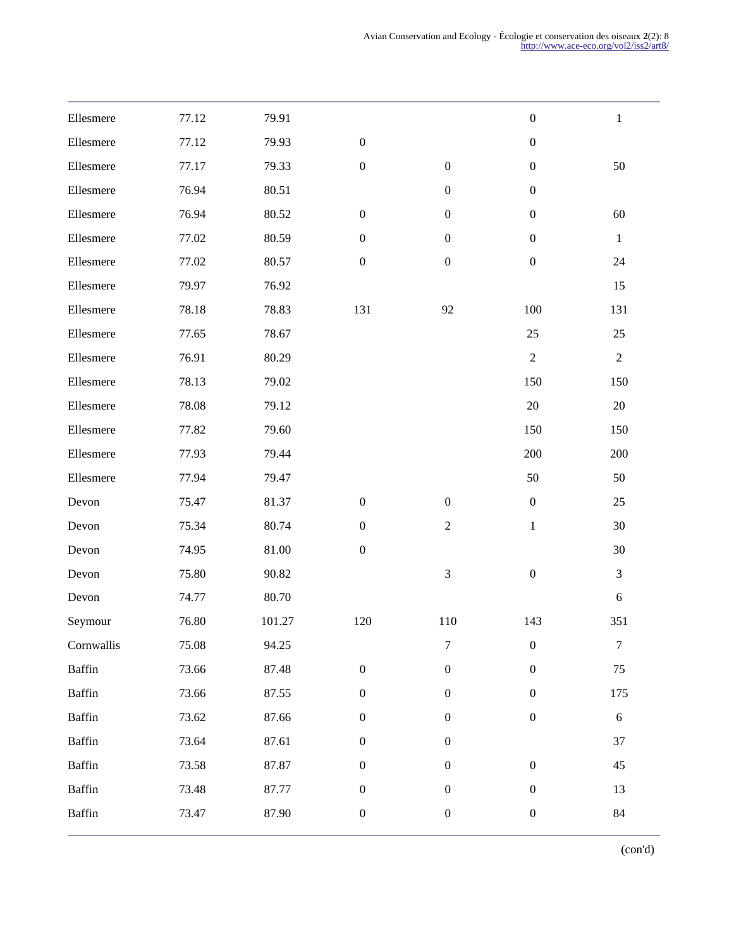| Ellesmere  | 77.12 | 79.91  |                  |                  | $\boldsymbol{0}$ | $\,1$          |
|------------|-------|--------|------------------|------------------|------------------|----------------|
| Ellesmere  | 77.12 | 79.93  | $\boldsymbol{0}$ |                  | $\boldsymbol{0}$ |                |
| Ellesmere  | 77.17 | 79.33  | $\boldsymbol{0}$ | $\boldsymbol{0}$ | $\boldsymbol{0}$ | $50\,$         |
| Ellesmere  | 76.94 | 80.51  |                  | $\boldsymbol{0}$ | $\boldsymbol{0}$ |                |
| Ellesmere  | 76.94 | 80.52  | $\boldsymbol{0}$ | $\boldsymbol{0}$ | $\boldsymbol{0}$ | 60             |
| Ellesmere  | 77.02 | 80.59  | $\boldsymbol{0}$ | $\boldsymbol{0}$ | $\boldsymbol{0}$ | $\mathbf{1}$   |
| Ellesmere  | 77.02 | 80.57  | $\boldsymbol{0}$ | $\boldsymbol{0}$ | $\boldsymbol{0}$ | 24             |
| Ellesmere  | 79.97 | 76.92  |                  |                  |                  | 15             |
| Ellesmere  | 78.18 | 78.83  | 131              | 92               | 100              | 131            |
| Ellesmere  | 77.65 | 78.67  |                  |                  | 25               | 25             |
| Ellesmere  | 76.91 | 80.29  |                  |                  | $\sqrt{2}$       | $\sqrt{2}$     |
| Ellesmere  | 78.13 | 79.02  |                  |                  | 150              | 150            |
| Ellesmere  | 78.08 | 79.12  |                  |                  | $20\,$           | 20             |
| Ellesmere  | 77.82 | 79.60  |                  |                  | 150              | 150            |
| Ellesmere  | 77.93 | 79.44  |                  |                  | 200              | 200            |
| Ellesmere  | 77.94 | 79.47  |                  |                  | 50               | 50             |
| Devon      | 75.47 | 81.37  | $\boldsymbol{0}$ | $\boldsymbol{0}$ | $\boldsymbol{0}$ | 25             |
| Devon      | 75.34 | 80.74  | $\boldsymbol{0}$ | $\sqrt{2}$       | $\mathbf{1}$     | 30             |
| Devon      | 74.95 | 81.00  | $\boldsymbol{0}$ |                  |                  | 30             |
| Devon      | 75.80 | 90.82  |                  | 3                | $\boldsymbol{0}$ | $\mathfrak{Z}$ |
| Devon      | 74.77 | 80.70  |                  |                  |                  | $\sqrt{6}$     |
| Seymour    | 76.80 | 101.27 | 120              | 110              | 143              | 351            |
| Cornwallis | 75.08 | 94.25  |                  | 7                | $\boldsymbol{0}$ | 7              |
| Baffin     | 73.66 | 87.48  | $\boldsymbol{0}$ | $\boldsymbol{0}$ | $\boldsymbol{0}$ | $75\,$         |
| Baffin     | 73.66 | 87.55  | $\boldsymbol{0}$ | $\boldsymbol{0}$ | $\boldsymbol{0}$ | 175            |
| Baffin     | 73.62 | 87.66  | $\boldsymbol{0}$ | $\boldsymbol{0}$ | $\boldsymbol{0}$ | $\sqrt{6}$     |
| Baffin     | 73.64 | 87.61  | $\boldsymbol{0}$ | $\boldsymbol{0}$ |                  | 37             |
| Baffin     | 73.58 | 87.87  | $\boldsymbol{0}$ | $\boldsymbol{0}$ | $\boldsymbol{0}$ | $45\,$         |
| Baffin     | 73.48 | 87.77  | $\boldsymbol{0}$ | $\boldsymbol{0}$ | $\boldsymbol{0}$ | 13             |
| Baffin     | 73.47 | 87.90  | $\boldsymbol{0}$ | $\boldsymbol{0}$ | $\boldsymbol{0}$ | $\bf 84$       |
|            |       |        |                  |                  |                  |                |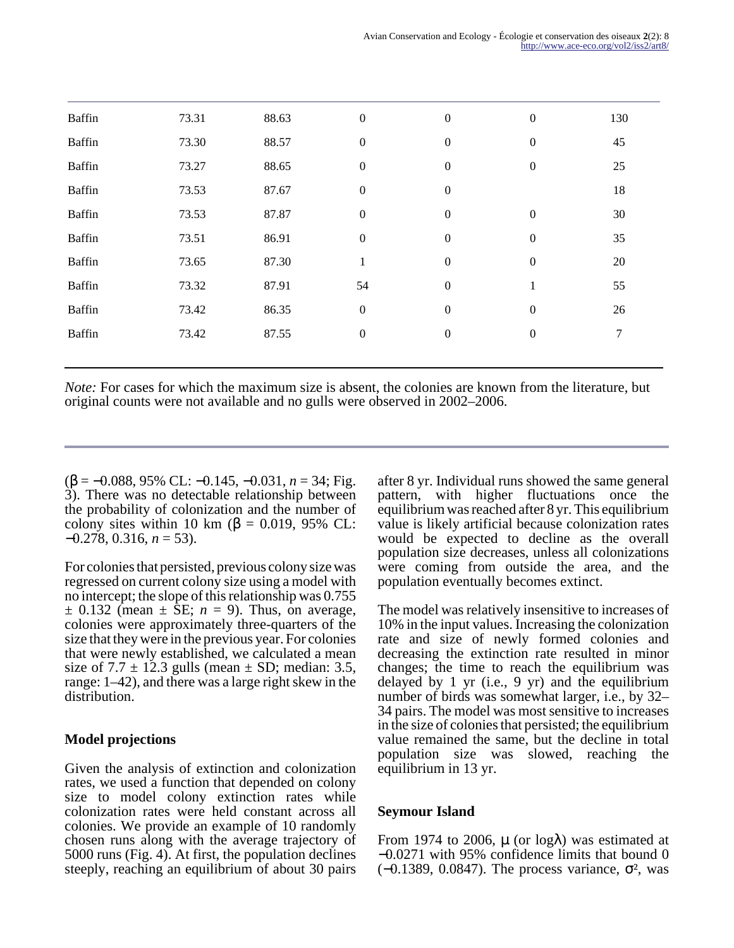| <b>Baffin</b> | 73.31 | 88.63 | $\boldsymbol{0}$ | $\boldsymbol{0}$ | $\boldsymbol{0}$ | 130 |
|---------------|-------|-------|------------------|------------------|------------------|-----|
| <b>Baffin</b> | 73.30 | 88.57 | $\boldsymbol{0}$ | $\boldsymbol{0}$ | $\boldsymbol{0}$ | 45  |
| <b>Baffin</b> | 73.27 | 88.65 | $\boldsymbol{0}$ | $\boldsymbol{0}$ | $\boldsymbol{0}$ | 25  |
| Baffin        | 73.53 | 87.67 | $\boldsymbol{0}$ | $\boldsymbol{0}$ |                  | 18  |
| <b>Baffin</b> | 73.53 | 87.87 | $\boldsymbol{0}$ | $\boldsymbol{0}$ | $\theta$         | 30  |
| <b>Baffin</b> | 73.51 | 86.91 | $\boldsymbol{0}$ | $\boldsymbol{0}$ | $\boldsymbol{0}$ | 35  |
| Baffin        | 73.65 | 87.30 |                  | $\boldsymbol{0}$ | $\boldsymbol{0}$ | 20  |
| <b>Baffin</b> | 73.32 | 87.91 | 54               | $\boldsymbol{0}$ |                  | 55  |
| <b>Baffin</b> | 73.42 | 86.35 | $\boldsymbol{0}$ | $\boldsymbol{0}$ | $\boldsymbol{0}$ | 26  |
| <b>Baffin</b> | 73.42 | 87.55 | $\boldsymbol{0}$ | $\boldsymbol{0}$ | $\boldsymbol{0}$ | 7   |
|               |       |       |                  |                  |                  |     |

*Note:* For cases for which the maximum size is absent, the colonies are known from the literature, but original counts were not available and no gulls were observed in 2002–2006.

(β = −0.088, 95% CL: −0.145, −0.031, *n* = 34; Fig. 3). There was no detectable relationship between the probability of colonization and the number of colony sites within 10 km ( $\beta$  = 0.019, 95% CL: −0.278, 0.316, *n* = 53).

For colonies that persisted, previous colony size was regressed on current colony size using a model with no intercept; the slope of this relationship was 0.755  $\pm$  0.132 (mean  $\pm$  SE; *n* = 9). Thus, on average, colonies were approximately three-quarters of the size that they were in the previous year. For colonies that were newly established, we calculated a mean size of  $7.7 \pm 12.3$  gulls (mean  $\pm$  SD; median: 3.5, range: 1–42), and there was a large right skew in the distribution.

### **Model projections**

Given the analysis of extinction and colonization rates, we used a function that depended on colony size to model colony extinction rates while colonization rates were held constant across all colonies. We provide an example of 10 randomly chosen runs along with the average trajectory of 5000 runs (Fig. 4). At first, the population declines steeply, reaching an equilibrium of about 30 pairs

after 8 yr. Individual runs showed the same general pattern, with higher fluctuations once the equilibrium was reached after 8 yr. This equilibrium value is likely artificial because colonization rates would be expected to decline as the overall population size decreases, unless all colonizations were coming from outside the area, and the population eventually becomes extinct.

The model was relatively insensitive to increases of 10% in the input values. Increasing the colonization rate and size of newly formed colonies and decreasing the extinction rate resulted in minor changes; the time to reach the equilibrium was delayed by 1 yr (i.e., 9 yr) and the equilibrium number of birds was somewhat larger, i.e., by 32– 34 pairs. The model was most sensitive to increases in the size of colonies that persisted; the equilibrium value remained the same, but the decline in total population size was slowed, reaching the equilibrium in 13 yr.

### **Seymour Island**

From 1974 to 2006,  $\mu$  (or log $\lambda$ ) was estimated at −0.0271 with 95% confidence limits that bound 0 (−0.1389, 0.0847). The process variance, σ², was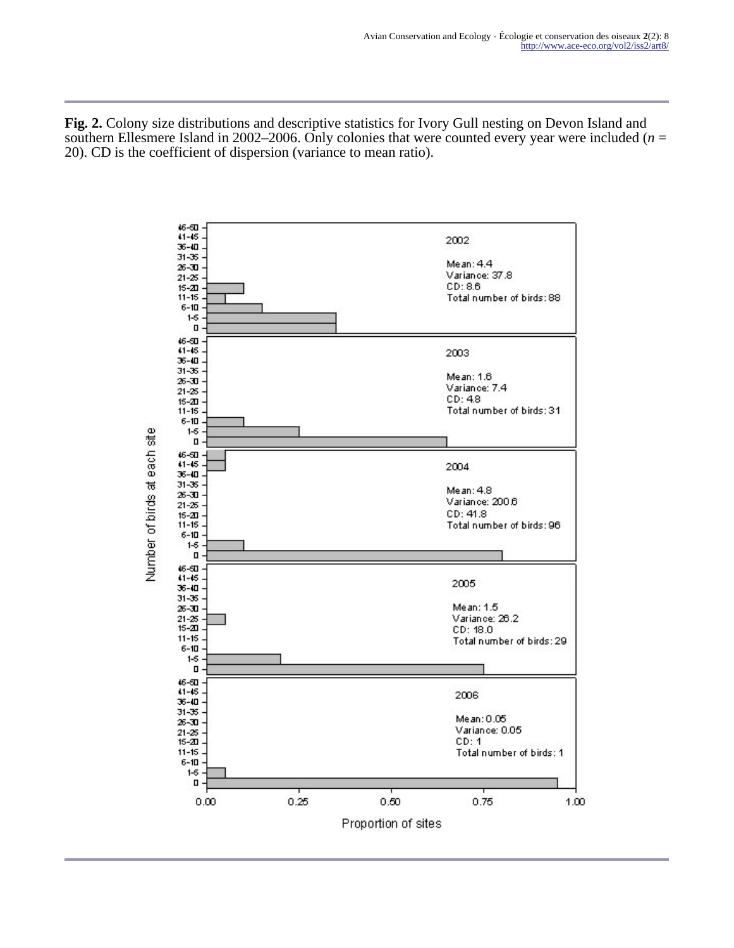**Fig. 2.** Colony size distributions and descriptive statistics for Ivory Gull nesting on Devon Island and southern Ellesmere Island in 2002–2006. Only colonies that were counted every year were included (*n* = 20). CD is the coefficient of dispersion (variance to mean ratio).

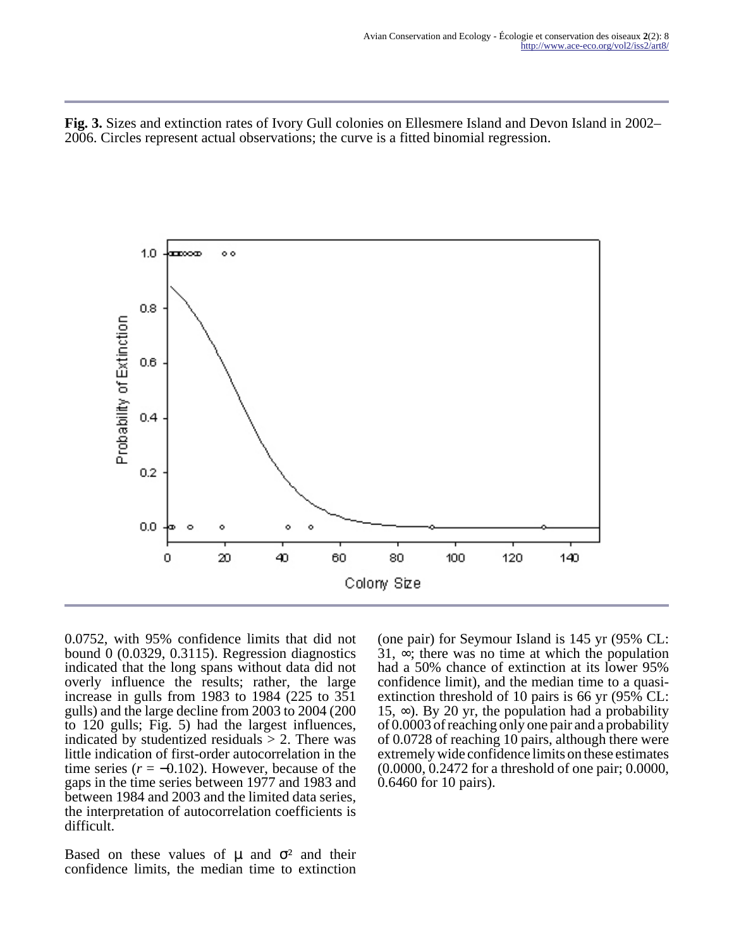**Fig. 3.** Sizes and extinction rates of Ivory Gull colonies on Ellesmere Island and Devon Island in 2002– 2006. Circles represent actual observations; the curve is a fitted binomial regression.



0.0752, with 95% confidence limits that did not bound 0 (0.0329, 0.3115). Regression diagnostics indicated that the long spans without data did not overly influence the results; rather, the large increase in gulls from 1983 to 1984 (225 to 351 gulls) and the large decline from 2003 to 2004 (200 to 120 gulls; Fig. 5) had the largest influences, indicated by studentized residuals  $> 2$ . There was little indication of first-order autocorrelation in the time series  $(r = -0.102)$ . However, because of the gaps in the time series between 1977 and 1983 and between 1984 and 2003 and the limited data series, the interpretation of autocorrelation coefficients is difficult.

Based on these values of  $\mu$  and  $\sigma^2$  and their confidence limits, the median time to extinction

(one pair) for Seymour Island is 145 yr (95% CL: 31,  $∞$ ; there was no time at which the population had a 50% chance of extinction at its lower 95% confidence limit), and the median time to a quasiextinction threshold of 10 pairs is 66 yr (95% CL: 15, ∞). By 20 yr, the population had a probability of 0.0003 of reaching only one pair and a probability of 0.0728 of reaching 10 pairs, although there were extremely wide confidence limits on these estimates (0.0000, 0.2472 for a threshold of one pair; 0.0000, 0.6460 for 10 pairs).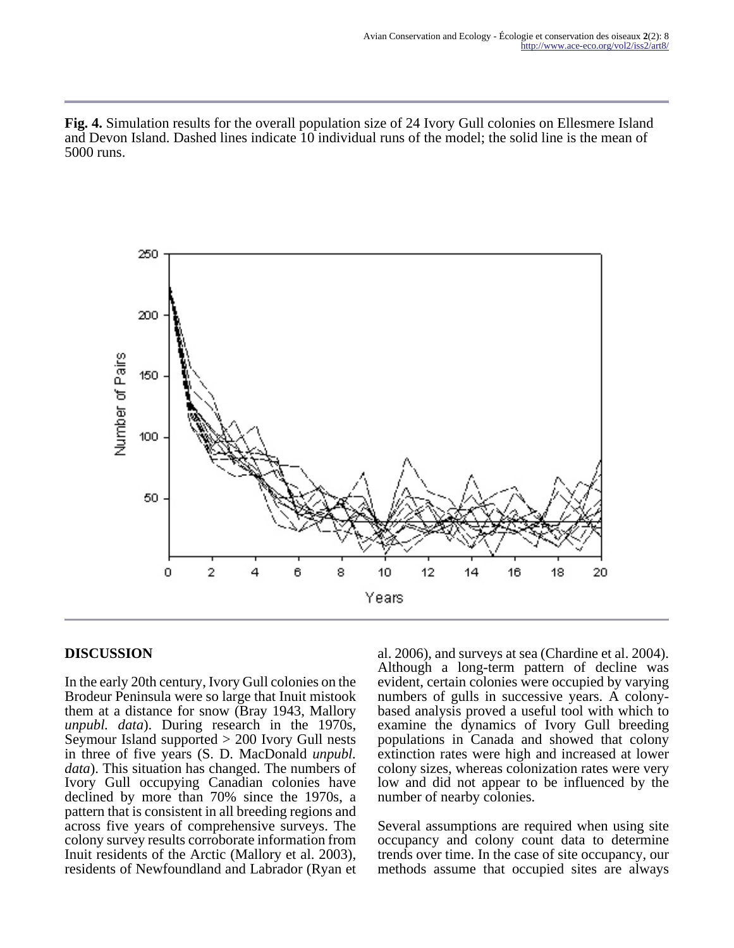**Fig. 4.** Simulation results for the overall population size of 24 Ivory Gull colonies on Ellesmere Island and Devon Island. Dashed lines indicate 10 individual runs of the model; the solid line is the mean of 5000 runs.



#### **DISCUSSION**

In the early 20th century, Ivory Gull colonies on the Brodeur Peninsula were so large that Inuit mistook them at a distance for snow (Bray 1943, Mallory *unpubl. data*). During research in the 1970s, Seymour Island supported > 200 Ivory Gull nests in three of five years (S. D. MacDonald *unpubl. data*). This situation has changed. The numbers of Ivory Gull occupying Canadian colonies have declined by more than 70% since the 1970s, a pattern that is consistent in all breeding regions and across five years of comprehensive surveys. The colony survey results corroborate information from Inuit residents of the Arctic (Mallory et al. 2003), residents of Newfoundland and Labrador (Ryan et

al. 2006), and surveys at sea (Chardine et al. 2004). Although a long-term pattern of decline was evident, certain colonies were occupied by varying numbers of gulls in successive years. A colonybased analysis proved a useful tool with which to examine the dynamics of Ivory Gull breeding populations in Canada and showed that colony extinction rates were high and increased at lower colony sizes, whereas colonization rates were very low and did not appear to be influenced by the number of nearby colonies.

Several assumptions are required when using site occupancy and colony count data to determine trends over time. In the case of site occupancy, our methods assume that occupied sites are always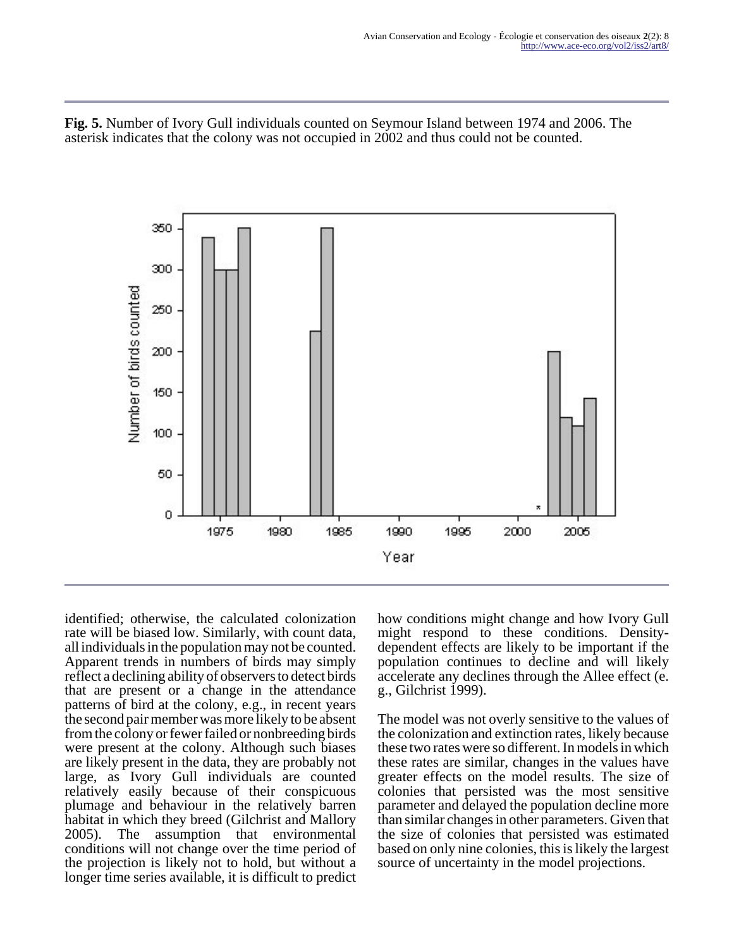**Fig. 5.** Number of Ivory Gull individuals counted on Seymour Island between 1974 and 2006. The asterisk indicates that the colony was not occupied in 2002 and thus could not be counted.



identified; otherwise, the calculated colonization rate will be biased low. Similarly, with count data, all individuals in the population may not be counted. Apparent trends in numbers of birds may simply reflect a declining ability of observers to detect birds that are present or a change in the attendance patterns of bird at the colony, e.g., in recent years the second pair member was more likely to be absent from the colony or fewer failed or nonbreeding birds were present at the colony. Although such biases are likely present in the data, they are probably not large, as Ivory Gull individuals are counted relatively easily because of their conspicuous plumage and behaviour in the relatively barren habitat in which they breed (Gilchrist and Mallory 2005). The assumption that environmental conditions will not change over the time period of the projection is likely not to hold, but without a longer time series available, it is difficult to predict

how conditions might change and how Ivory Gull might respond to these conditions. Densitydependent effects are likely to be important if the population continues to decline and will likely accelerate any declines through the Allee effect (e. g., Gilchrist 1999).

The model was not overly sensitive to the values of the colonization and extinction rates, likely because these two rates were so different. In models in which these rates are similar, changes in the values have greater effects on the model results. The size of colonies that persisted was the most sensitive parameter and delayed the population decline more than similar changes in other parameters. Given that the size of colonies that persisted was estimated based on only nine colonies, this is likely the largest source of uncertainty in the model projections.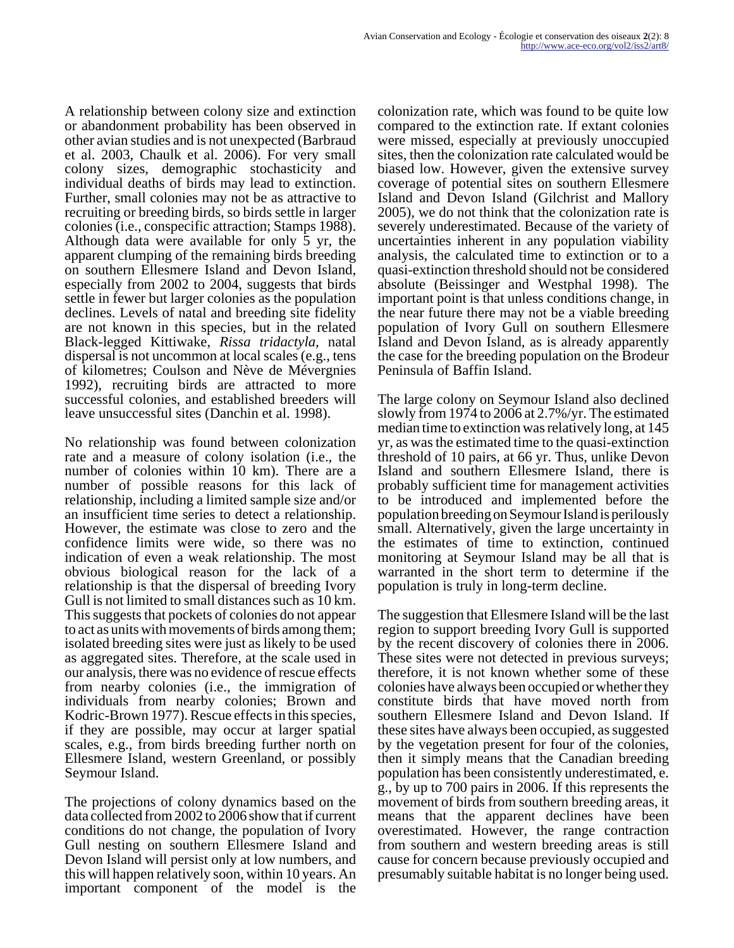A relationship between colony size and extinction or abandonment probability has been observed in other avian studies and is not unexpected (Barbraud et al. 2003, Chaulk et al. 2006). For very small colony sizes, demographic stochasticity and individual deaths of birds may lead to extinction. Further, small colonies may not be as attractive to recruiting or breeding birds, so birds settle in larger colonies (i.e., conspecific attraction; Stamps 1988). Although data were available for only 5 yr, the apparent clumping of the remaining birds breeding on southern Ellesmere Island and Devon Island, especially from 2002 to 2004, suggests that birds settle in fewer but larger colonies as the population declines. Levels of natal and breeding site fidelity are not known in this species, but in the related Black-legged Kittiwake, *Rissa tridactyla,* natal dispersal is not uncommon at local scales (e.g., tens of kilometres; Coulson and Nève de Mévergnies 1992), recruiting birds are attracted to more successful colonies, and established breeders will leave unsuccessful sites (Danchin et al. 1998).

No relationship was found between colonization rate and a measure of colony isolation (i.e., the number of colonies within 10 km). There are a number of possible reasons for this lack of relationship, including a limited sample size and/or an insufficient time series to detect a relationship. However, the estimate was close to zero and the confidence limits were wide, so there was no indication of even a weak relationship. The most obvious biological reason for the lack of a relationship is that the dispersal of breeding Ivory Gull is not limited to small distances such as 10 km. This suggests that pockets of colonies do not appear to act as units with movements of birds among them; isolated breeding sites were just as likely to be used as aggregated sites. Therefore, at the scale used in our analysis, there was no evidence of rescue effects from nearby colonies (i.e., the immigration of individuals from nearby colonies; Brown and Kodric-Brown 1977). Rescue effects in this species, if they are possible, may occur at larger spatial scales, e.g., from birds breeding further north on Ellesmere Island, western Greenland, or possibly Seymour Island.

The projections of colony dynamics based on the data collected from 2002 to 2006 show that if current conditions do not change, the population of Ivory Gull nesting on southern Ellesmere Island and Devon Island will persist only at low numbers, and this will happen relatively soon, within 10 years. An important component of the model is the

colonization rate, which was found to be quite low compared to the extinction rate. If extant colonies were missed, especially at previously unoccupied sites, then the colonization rate calculated would be biased low. However, given the extensive survey coverage of potential sites on southern Ellesmere Island and Devon Island (Gilchrist and Mallory 2005), we do not think that the colonization rate is severely underestimated. Because of the variety of uncertainties inherent in any population viability analysis, the calculated time to extinction or to a quasi-extinction threshold should not be considered absolute (Beissinger and Westphal 1998). The important point is that unless conditions change, in the near future there may not be a viable breeding population of Ivory Gull on southern Ellesmere Island and Devon Island, as is already apparently the case for the breeding population on the Brodeur Peninsula of Baffin Island.

The large colony on Seymour Island also declined slowly from 1974 to 2006 at 2.7%/yr. The estimated median time to extinction was relatively long, at 145 yr, as was the estimated time to the quasi-extinction threshold of 10 pairs, at 66 yr. Thus, unlike Devon Island and southern Ellesmere Island, there is probably sufficient time for management activities to be introduced and implemented before the population breeding on Seymour Island is perilously small. Alternatively, given the large uncertainty in the estimates of time to extinction, continued monitoring at Seymour Island may be all that is warranted in the short term to determine if the population is truly in long-term decline.

The suggestion that Ellesmere Island will be the last region to support breeding Ivory Gull is supported by the recent discovery of colonies there in 2006. These sites were not detected in previous surveys; therefore, it is not known whether some of these colonies have always been occupied or whether they constitute birds that have moved north from southern Ellesmere Island and Devon Island. If these sites have always been occupied, as suggested by the vegetation present for four of the colonies, then it simply means that the Canadian breeding population has been consistently underestimated, e. g., by up to 700 pairs in 2006. If this represents the movement of birds from southern breeding areas, it means that the apparent declines have been overestimated. However, the range contraction from southern and western breeding areas is still cause for concern because previously occupied and presumably suitable habitat is no longer being used.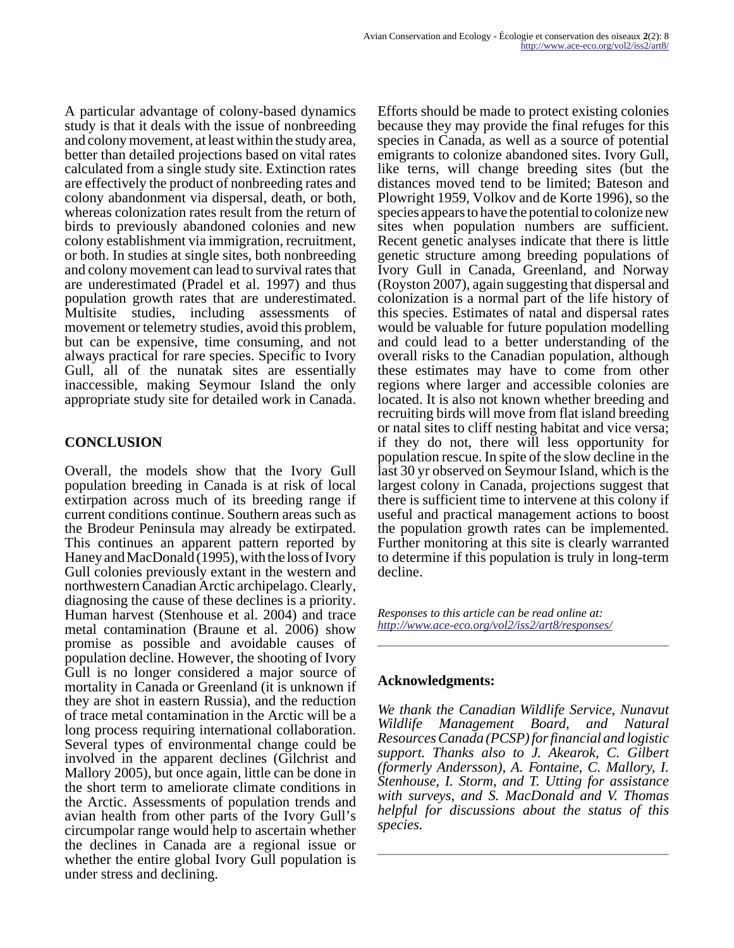A particular advantage of colony-based dynamics study is that it deals with the issue of nonbreeding and colony movement, at least within the study area, better than detailed projections based on vital rates calculated from a single study site. Extinction rates are effectively the product of nonbreeding rates and colony abandonment via dispersal, death, or both, whereas colonization rates result from the return of birds to previously abandoned colonies and new colony establishment via immigration, recruitment, or both. In studies at single sites, both nonbreeding and colony movement can lead to survival rates that are underestimated (Pradel et al. 1997) and thus population growth rates that are underestimated. Multisite studies, including assessments of movement or telemetry studies, avoid this problem, but can be expensive, time consuming, and not always practical for rare species. Specific to Ivory Gull, all of the nunatak sites are essentially inaccessible, making Seymour Island the only appropriate study site for detailed work in Canada.

# **CONCLUSION**

Overall, the models show that the Ivory Gull population breeding in Canada is at risk of local extirpation across much of its breeding range if current conditions continue. Southern areas such as the Brodeur Peninsula may already be extirpated. This continues an apparent pattern reported by Haney and MacDonald (1995), with the loss of Ivory Gull colonies previously extant in the western and northwestern Canadian Arctic archipelago. Clearly, diagnosing the cause of these declines is a priority. Human harvest (Stenhouse et al. 2004) and trace metal contamination (Braune et al. 2006) show promise as possible and avoidable causes of population decline. However, the shooting of Ivory Gull is no longer considered a major source of mortality in Canada or Greenland (it is unknown if they are shot in eastern Russia), and the reduction of trace metal contamination in the Arctic will be a long process requiring international collaboration. Several types of environmental change could be involved in the apparent declines (Gilchrist and Mallory 2005), but once again, little can be done in the short term to ameliorate climate conditions in the Arctic. Assessments of population trends and avian health from other parts of the Ivory Gull's circumpolar range would help to ascertain whether the declines in Canada are a regional issue or whether the entire global Ivory Gull population is under stress and declining.

Efforts should be made to protect existing colonies because they may provide the final refuges for this species in Canada, as well as a source of potential emigrants to colonize abandoned sites. Ivory Gull, like terns, will change breeding sites (but the distances moved tend to be limited; Bateson and Plowright 1959, Volkov and de Korte 1996), so the species appears to have the potential to colonize new sites when population numbers are sufficient. Recent genetic analyses indicate that there is little genetic structure among breeding populations of Ivory Gull in Canada, Greenland, and Norway (Royston 2007), again suggesting that dispersal and colonization is a normal part of the life history of this species. Estimates of natal and dispersal rates would be valuable for future population modelling and could lead to a better understanding of the overall risks to the Canadian population, although these estimates may have to come from other regions where larger and accessible colonies are located. It is also not known whether breeding and recruiting birds will move from flat island breeding or natal sites to cliff nesting habitat and vice versa; if they do not, there will less opportunity for population rescue. In spite of the slow decline in the last 30 yr observed on Seymour Island, which is the largest colony in Canada, projections suggest that there is sufficient time to intervene at this colony if useful and practical management actions to boost the population growth rates can be implemented. Further monitoring at this site is clearly warranted to determine if this population is truly in long-term decline.

*Responses to this article can be read online at: <http://www.ace-eco.org/vol2/iss2/art8/responses/>*

# **Acknowledgments:**

*We thank the Canadian Wildlife Service, Nunavut Wildlife Management Board, and Natural Resources Canada (PCSP) for financial and logistic support. Thanks also to J. Akearok, C. Gilbert (formerly Andersson), A. Fontaine, C. Mallory, I. Stenhouse, I. Storm, and T. Utting for assistance with surveys, and S. MacDonald and V. Thomas helpful for discussions about the status of this species.*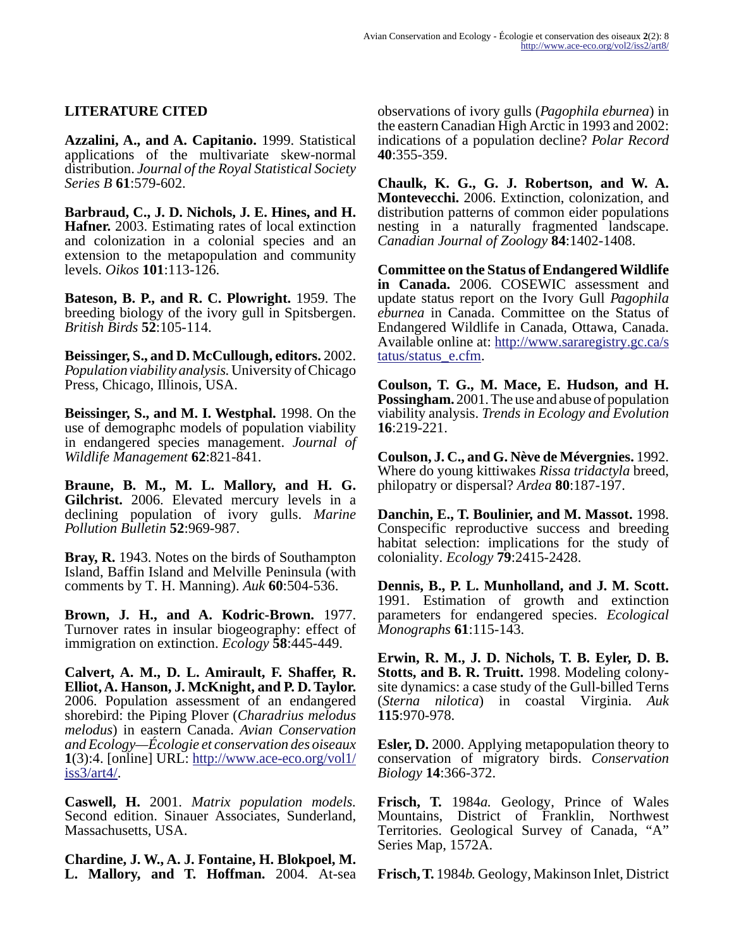### **LITERATURE CITED**

**Azzalini, A., and A. Capitanio.** 1999. Statistical applications of the multivariate skew-normal distribution. *Journal of the Royal Statistical Society Series B* **61**:579-602.

**Barbraud, C., J. D. Nichols, J. E. Hines, and H. Hafner.** 2003. Estimating rates of local extinction and colonization in a colonial species and an extension to the metapopulation and community levels. *Oikos* **101**:113-126.

**Bateson, B. P., and R. C. Plowright.** 1959. The breeding biology of the ivory gull in Spitsbergen. *British Birds* **52**:105-114.

**Beissinger, S., and D. McCullough, editors.** 2002. *Population viability analysis.* University of Chicago Press, Chicago, Illinois, USA.

**Beissinger, S., and M. I. Westphal.** 1998. On the use of demographc models of population viability in endangered species management. *Journal of Wildlife Management* **62**:821-841.

**Braune, B. M., M. L. Mallory, and H. G. Gilchrist.** 2006. Elevated mercury levels in a declining population of ivory gulls. *Marine Pollution Bulletin* **52**:969-987.

**Bray, R.** 1943. Notes on the birds of Southampton Island, Baffin Island and Melville Peninsula (with comments by T. H. Manning). *Auk* **60**:504-536.

**Brown, J. H., and A. Kodric-Brown.** 1977. Turnover rates in insular biogeography: effect of immigration on extinction. *Ecology* **58**:445-449.

**Calvert, A. M., D. L. Amirault, F. Shaffer, R. Elliot, A. Hanson, J. McKnight, and P. D. Taylor.** 2006. Population assessment of an endangered shorebird: the Piping Plover (*Charadrius melodus melodus*) in eastern Canada. *Avian Conservation and Ecology—Écologie et conservation des oiseaux* **1**(3):4. [online] URL: [http://www.ace-eco.org/vol1/](http://www.ace-eco.org/vol1/iss3/art4/) [iss3/art4/](http://www.ace-eco.org/vol1/iss3/art4/).

**Caswell, H.** 2001. *Matrix population models.* Second edition. Sinauer Associates, Sunderland, Massachusetts, USA.

**Chardine, J. W., A. J. Fontaine, H. Blokpoel, M. L. Mallory, and T. Hoffman.** 2004. At-sea observations of ivory gulls (*Pagophila eburnea*) in the eastern Canadian High Arctic in 1993 and 2002: indications of a population decline? *Polar Record* **40**:355-359.

**Chaulk, K. G., G. J. Robertson, and W. A. Montevecchi.** 2006. Extinction, colonization, and distribution patterns of common eider populations nesting in a naturally fragmented landscape. *Canadian Journal of Zoology* **84**:1402-1408.

**Committee on the Status of Endangered Wildlife in Canada.** 2006. COSEWIC assessment and update status report on the Ivory Gull *Pagophila eburnea* in Canada. Committee on the Status of Endangered Wildlife in Canada, Ottawa, Canada. Available online at: [http://www.sararegistry.gc.ca/s](http://www.sararegistry.gc.ca/status/status_e.cfm) [tatus/status\\_e.cfm](http://www.sararegistry.gc.ca/status/status_e.cfm).

**Coulson, T. G., M. Mace, E. Hudson, and H. Possingham.** 2001. The use and abuse of population viability analysis. *Trends in Ecology and Evolution* **16**:219-221.

**Coulson, J. C., and G. Nève de Mévergnies.** 1992. Where do young kittiwakes *Rissa tridactyla* breed, philopatry or dispersal? *Ardea* **80**:187-197.

**Danchin, E., T. Boulinier, and M. Massot.** 1998. Conspecific reproductive success and breeding habitat selection: implications for the study of coloniality. *Ecology* **79**:2415-2428.

**Dennis, B., P. L. Munholland, and J. M. Scott.** 1991. Estimation of growth and extinction parameters for endangered species. *Ecological Monographs* **61**:115-143.

**Erwin, R. M., J. D. Nichols, T. B. Eyler, D. B. Stotts, and B. R. Truitt.** 1998. Modeling colonysite dynamics: a case study of the Gull-billed Terns (*Sterna nilotica*) in coastal Virginia. *Auk* **115**:970-978.

**Esler, D.** 2000. Applying metapopulation theory to conservation of migratory birds. *Conservation Biology* **14**:366-372.

**Frisch, T.** 1984*a.* Geology, Prince of Wales Mountains, District of Franklin, Northwest Territories. Geological Survey of Canada, "A" Series Map, 1572A.

**Frisch, T.** 1984*b.* Geology, Makinson Inlet, District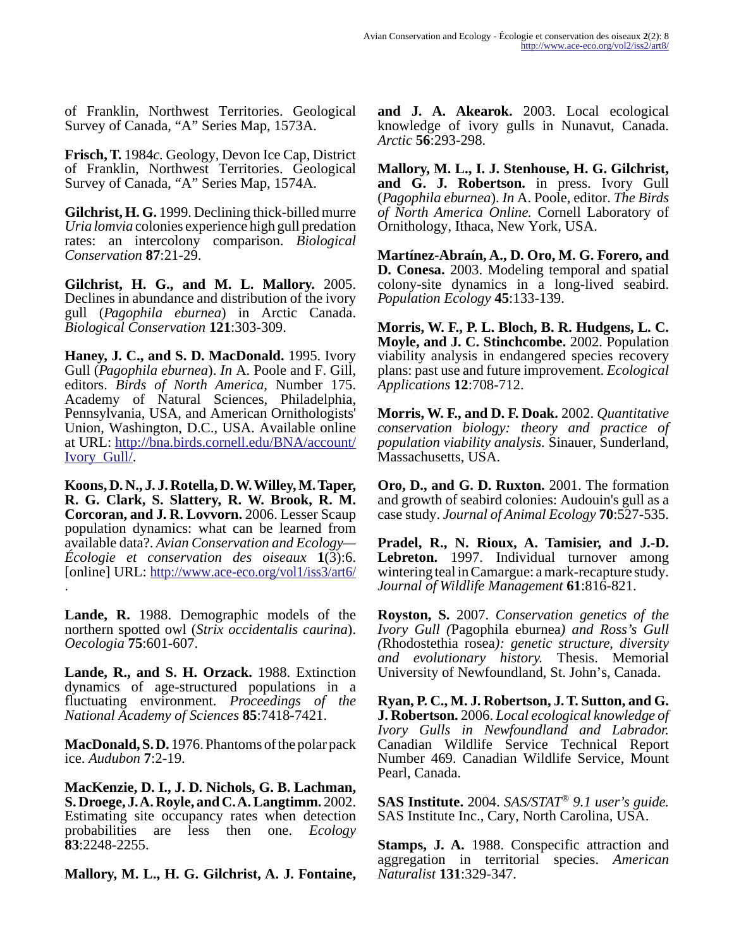of Franklin, Northwest Territories. Geological Survey of Canada, "A" Series Map, 1573A.

**Frisch, T.** 1984*c.* Geology, Devon Ice Cap, District of Franklin, Northwest Territories. Geological Survey of Canada, "A" Series Map, 1574A.

**Gilchrist, H. G.** 1999. Declining thick-billed murre *Uria lomvia* colonies experience high gull predation rates: an intercolony comparison. *Biological Conservation* **87**:21-29.

**Gilchrist, H. G., and M. L. Mallory.** 2005. Declines in abundance and distribution of the ivory gull (*Pagophila eburnea*) in Arctic Canada. *Biological Conservation* **121**:303-309.

**Haney, J. C., and S. D. MacDonald.** 1995. Ivory Gull (*Pagophila eburnea*). *In* A. Poole and F. Gill, editors. *Birds of North America,* Number 175. Academy of Natural Sciences, Philadelphia, Pennsylvania, USA, and American Ornithologists' Union, Washington, D.C., USA. Available online at URL: [http://bna.birds.cornell.edu/BNA/account/](http://bna.birds.cornell.edu/BNA/account/Ivory_Gull/) [Ivory\\_Gull/.](http://bna.birds.cornell.edu/BNA/account/Ivory_Gull/)

**Koons, D. N., J. J. Rotella, D. W. Willey, M. Taper, R. G. Clark, S. Slattery, R. W. Brook, R. M. Corcoran, and J. R. Lovvorn.** 2006. Lesser Scaup population dynamics: what can be learned from available data?. *Avian Conservation and Ecology— Écologie et conservation des oiseaux* **1**(3):6. [online] URL:<http://www.ace-eco.org/vol1/iss3/art6/> .

**Lande, R.** 1988. Demographic models of the northern spotted owl (*Strix occidentalis caurina*). *Oecologia* **75**:601-607.

**Lande, R., and S. H. Orzack.** 1988. Extinction dynamics of age-structured populations in a fluctuating environment. *Proceedings of the National Academy of Sciences* **85**:7418-7421.

**MacDonald, S. D.** 1976. Phantoms of the polar pack ice. *Audubon* **7**:2-19.

**MacKenzie, D. I., J. D. Nichols, G. B. Lachman, S. Droege, J. A. Royle, and C. A. Langtimm.** 2002. Estimating site occupancy rates when detection probabilities are less then one. *Ecology* **83**:2248-2255.

**Mallory, M. L., H. G. Gilchrist, A. J. Fontaine,**

**and J. A. Akearok.** 2003. Local ecological knowledge of ivory gulls in Nunavut, Canada. *Arctic* **56**:293-298.

**Mallory, M. L., I. J. Stenhouse, H. G. Gilchrist, and G. J. Robertson.** in press. Ivory Gull (*Pagophila eburnea*). *In* A. Poole, editor. *The Birds of North America Online.* Cornell Laboratory of Ornithology, Ithaca, New York, USA.

**Martínez-Abraín, A., D. Oro, M. G. Forero, and D. Conesa.** 2003. Modeling temporal and spatial colony-site dynamics in a long-lived seabird. *Population Ecology* **45**:133-139.

**Morris, W. F., P. L. Bloch, B. R. Hudgens, L. C. Moyle, and J. C. Stinchcombe.** 2002. Population viability analysis in endangered species recovery plans: past use and future improvement. *Ecological Applications* **12**:708-712.

**Morris, W. F., and D. F. Doak.** 2002. *Quantitative conservation biology: theory and practice of population viability analysis.* Sinauer, Sunderland, Massachusetts, USA.

**Oro, D., and G. D. Ruxton.** 2001. The formation and growth of seabird colonies: Audouin's gull as a case study. *Journal of Animal Ecology* **70**:527-535.

**Pradel, R., N. Rioux, A. Tamisier, and J.-D.** Lebreton. 1997. Individual turnover among wintering teal in Camargue: a mark-recapture study. *Journal of Wildlife Management* **61**:816-821.

**Royston, S.** 2007. *Conservation genetics of the Ivory Gull (*Pagophila eburnea*) and Ross's Gull (*Rhodostethia rosea*): genetic structure, diversity and evolutionary history.* Thesis. Memorial University of Newfoundland, St. John's, Canada.

**Ryan, P. C., M. J. Robertson, J. T. Sutton, and G. J. Robertson.** 2006. *Local ecological knowledge of Ivory Gulls in Newfoundland and Labrador.* Canadian Wildlife Service Technical Report Number 469. Canadian Wildlife Service, Mount Pearl, Canada.

**SAS Institute.** 2004. *SAS/STAT® 9.1 user's guide.* SAS Institute Inc., Cary, North Carolina, USA.

**Stamps, J. A.** 1988. Conspecific attraction and aggregation in territorial species. *American Naturalist* **131**:329-347.